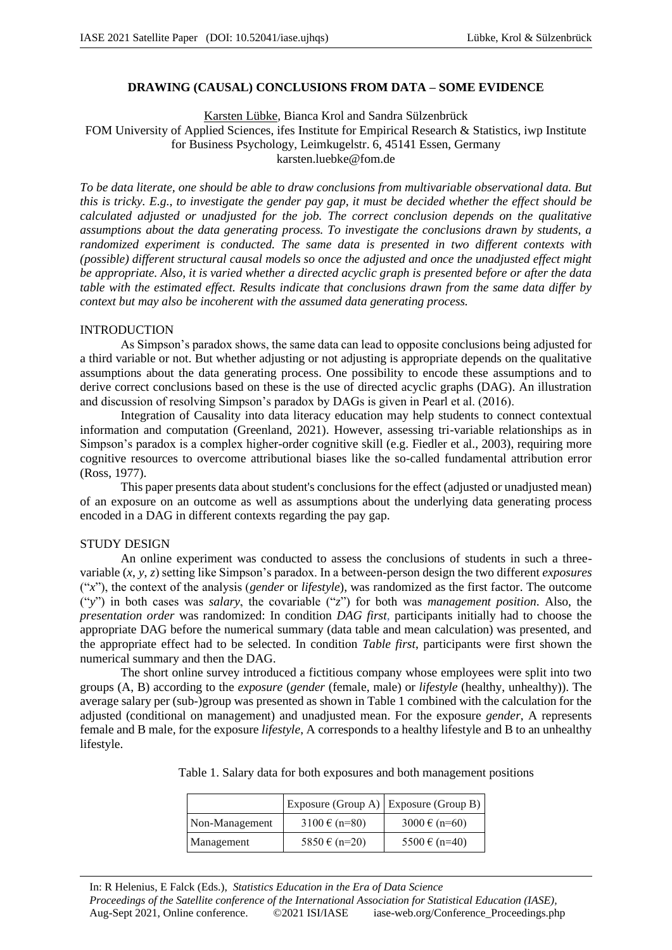# **DRAWING (CAUSAL) CONCLUSIONS FROM DATA – SOME EVIDENCE**

Karsten Lübke, Bianca Krol and Sandra Sülzenbrück

FOM University of Applied Sciences, ifes Institute for Empirical Research & Statistics, iwp Institute for Business Psychology, Leimkugelstr. 6, 45141 Essen, Germany karsten.luebke@fom.de

*To be data literate, one should be able to draw conclusions from multivariable observational data. But this is tricky. E.g., to investigate the gender pay gap, it must be decided whether the effect should be calculated adjusted or unadjusted for the job. The correct conclusion depends on the qualitative assumptions about the data generating process. To investigate the conclusions drawn by students, a randomized experiment is conducted. The same data is presented in two different contexts with (possible) different structural causal models so once the adjusted and once the unadjusted effect might be appropriate. Also, it is varied whether a directed acyclic graph is presented before or after the data table with the estimated effect. Results indicate that conclusions drawn from the same data differ by context but may also be incoherent with the assumed data generating process.*

## INTRODUCTION

As Simpson's paradox shows, the same data can lead to opposite conclusions being adjusted for a third variable or not. But whether adjusting or not adjusting is appropriate depends on the qualitative assumptions about the data generating process. One possibility to encode these assumptions and to derive correct conclusions based on these is the use of directed acyclic graphs (DAG). An illustration and discussion of resolving Simpson's paradox by DAGs is given in Pearl et al. (2016).

Integration of Causality into data literacy education may help students to connect contextual information and computation (Greenland, 2021). However, assessing tri-variable relationships as in Simpson's paradox is a complex higher-order cognitive skill (e.g. Fiedler et al., 2003), requiring more cognitive resources to overcome attributional biases like the so-called fundamental attribution error (Ross, 1977).

This paper presents data about student's conclusions for the effect (adjusted or unadjusted mean) of an exposure on an outcome as well as assumptions about the underlying data generating process encoded in a DAG in different contexts regarding the pay gap.

## STUDY DESIGN

An online experiment was conducted to assess the conclusions of students in such a threevariable (*x*, *y*, *z*) setting like Simpson's paradox. In a between-person design the two different *exposures* ("*x*"), the context of the analysis (*gender* or *lifestyle*), was randomized as the first factor. The outcome ("*y*") in both cases was *salary*, the covariable ("*z*") for both was *management position*. Also, the *presentation order* was randomized: In condition *DAG first*, participants initially had to choose the appropriate DAG before the numerical summary (data table and mean calculation) was presented, and the appropriate effect had to be selected. In condition *Table first*, participants were first shown the numerical summary and then the DAG.

The short online survey introduced a fictitious company whose employees were split into two groups (A, B) according to the *exposure* (*gender* (female, male) or *lifestyle* (healthy, unhealthy)). The average salary per (sub-)group was presented as shown in Table 1 combined with the calculation for the adjusted (conditional on management) and unadjusted mean. For the exposure *gender*, A represents female and B male, for the exposure *lifestyle*, A corresponds to a healthy lifestyle and B to an unhealthy lifestyle.

|  |  |  | Table 1. Salary data for both exposures and both management positions |  |
|--|--|--|-----------------------------------------------------------------------|--|
|--|--|--|-----------------------------------------------------------------------|--|

|                |                            | Exposure (Group A) $ $ Exposure (Group B) |
|----------------|----------------------------|-------------------------------------------|
| Non-Management | $3100 \text{ } \in (n=80)$ | $3000 \text{ } \in (n=60)$                |
| Management     | 5850 $\in$ (n=20)          | $5500 \text{ } \in (n=40)$                |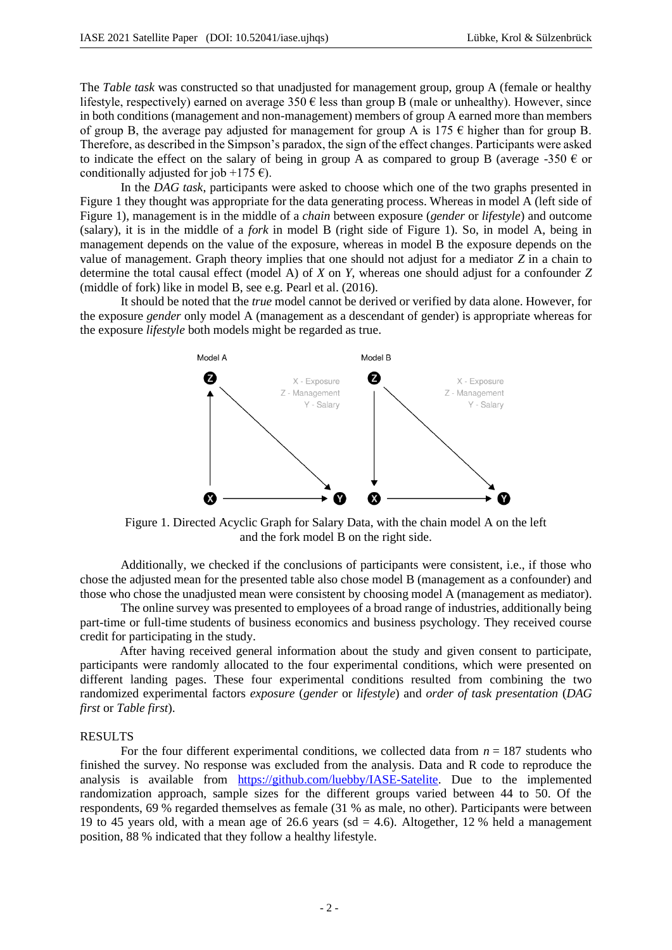The *Table task* was constructed so that unadjusted for management group, group A (female or healthy lifestyle, respectively) earned on average  $350 \text{ } \epsilon$  less than group B (male or unhealthy). However, since in both conditions (management and non-management) members of group A earned more than members of group B, the average pay adjusted for management for group A is  $175 \text{ } \infty$  higher than for group B. Therefore, as described in the Simpson's paradox, the sign of the effect changes. Participants were asked to indicate the effect on the salary of being in group A as compared to group B (average -350  $\epsilon$  or conditionally adjusted for job +175  $\epsilon$ ).

In the *DAG task*, participants were asked to choose which one of the two graphs presented in Figure 1 they thought was appropriate for the data generating process. Whereas in model A (left side of Figure 1), management is in the middle of a *chain* between exposure (*gender* or *lifestyle*) and outcome (salary), it is in the middle of a *fork* in model B (right side of Figure 1). So, in model A, being in management depends on the value of the exposure, whereas in model B the exposure depends on the value of management. Graph theory implies that one should not adjust for a mediator *Z* in a chain to determine the total causal effect (model A) of *X* on *Y*, whereas one should adjust for a confounder *Z*  (middle of fork) like in model B, see e.g. Pearl et al. (2016).

It should be noted that the *true* model cannot be derived or verified by data alone. However, for the exposure *gender* only model A (management as a descendant of gender) is appropriate whereas for the exposure *lifestyle* both models might be regarded as true.



Figure 1. Directed Acyclic Graph for Salary Data, with the chain model A on the left and the fork model B on the right side.

Additionally, we checked if the conclusions of participants were consistent, i.e., if those who chose the adjusted mean for the presented table also chose model B (management as a confounder) and those who chose the unadjusted mean were consistent by choosing model A (management as mediator).

The online survey was presented to employees of a broad range of industries, additionally being part-time or full-time students of business economics and business psychology. They received course credit for participating in the study.

After having received general information about the study and given consent to participate, participants were randomly allocated to the four experimental conditions, which were presented on different landing pages. These four experimental conditions resulted from combining the two randomized experimental factors *exposure* (*gender* or *lifestyle*) and *order of task presentation* (*DAG first* or *Table first*).

### RESULTS

For the four different experimental conditions, we collected data from  $n = 187$  students who finished the survey. No response was excluded from the analysis. Data and R code to reproduce the analysis is available from https://github.com/luebby/IASE-Satelite. Due to the implemented randomization approach, sample sizes for the different groups varied between 44 to 50. Of the respondents, 69 % regarded themselves as female (31 % as male, no other). Participants were between 19 to 45 years old, with a mean age of 26.6 years (sd = 4.6). Altogether, 12 % held a management position, 88 % indicated that they follow a healthy lifestyle.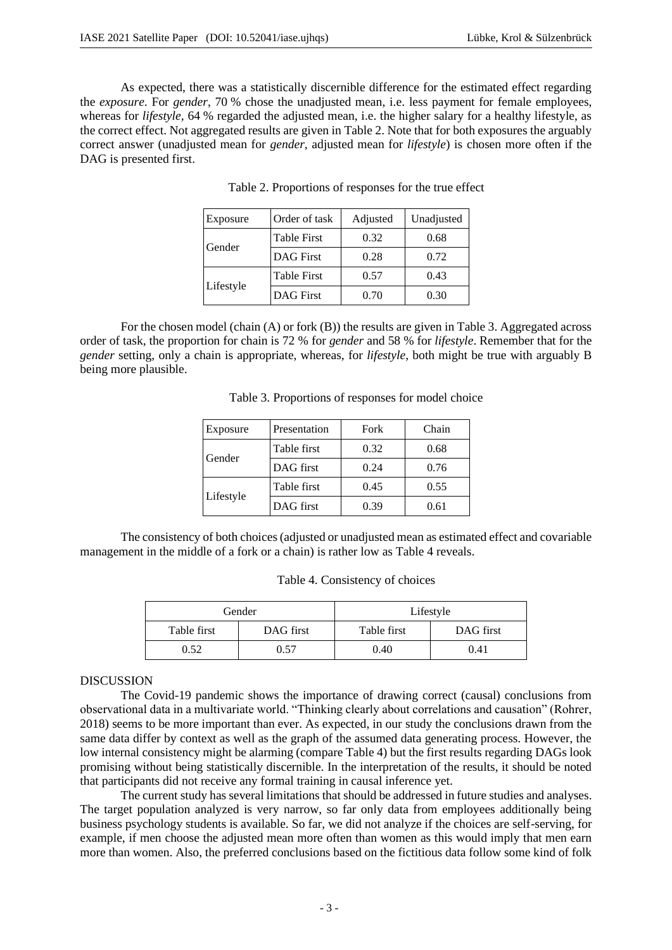As expected, there was a statistically discernible difference for the estimated effect regarding the *exposure*. For *gender*, 70 % chose the unadjusted mean, i.e. less payment for female employees, whereas for *lifestyle,* 64 % regarded the adjusted mean, i.e. the higher salary for a healthy lifestyle, as the correct effect. Not aggregated results are given in Table 2. Note that for both exposures the arguably correct answer (unadjusted mean for *gender*, adjusted mean for *lifestyle*) is chosen more often if the DAG is presented first.

| Exposure  | Order of task      | Adjusted | Unadjusted |
|-----------|--------------------|----------|------------|
| Gender    | <b>Table First</b> | 0.32     | 0.68       |
|           | <b>DAG</b> First   | 0.28     | 0.72       |
| Lifestyle | <b>Table First</b> | 0.57     | 0.43       |
|           | <b>DAG</b> First   | 0.70     | 0.30       |

| Table 2. Proportions of responses for the true effect |  |  |  |  |  |
|-------------------------------------------------------|--|--|--|--|--|
|-------------------------------------------------------|--|--|--|--|--|

For the chosen model (chain (A) or fork (B)) the results are given in Table 3. Aggregated across order of task, the proportion for chain is 72 % for *gender* and 58 % for *lifestyle*. Remember that for the *gender* setting, only a chain is appropriate, whereas, for *lifestyle*, both might be true with arguably B being more plausible.

Table 3. Proportions of responses for model choice

| Exposure  | Presentation | Fork | Chain |
|-----------|--------------|------|-------|
|           | Table first  | 0.32 | 0.68  |
| Gender    | DAG first    | 0.24 | 0.76  |
| Lifestyle | Table first  | 0.45 | 0.55  |
|           | DAG first    | 0.39 | 0.61  |

The consistency of both choices (adjusted or unadjusted mean as estimated effect and covariable management in the middle of a fork or a chain) is rather low as Table 4 reveals.

|             | Gender    |             | Lifestyle |
|-------------|-----------|-------------|-----------|
| Table first | DAG first | Table first | DAG first |
| 0.52        | 0.57      | 0.40        | 0.41      |

### DISCUSSION

The Covid-19 pandemic shows the importance of drawing correct (causal) conclusions from observational data in a multivariate world. "Thinking clearly about correlations and causation" (Rohrer, 2018) seems to be more important than ever. As expected, in our study the conclusions drawn from the same data differ by context as well as the graph of the assumed data generating process. However, the low internal consistency might be alarming (compare Table 4) but the first results regarding DAGs look promising without being statistically discernible. In the interpretation of the results, it should be noted that participants did not receive any formal training in causal inference yet.

The current study has several limitations that should be addressed in future studies and analyses. The target population analyzed is very narrow, so far only data from employees additionally being business psychology students is available. So far, we did not analyze if the choices are self-serving, for example, if men choose the adjusted mean more often than women as this would imply that men earn more than women. Also, the preferred conclusions based on the fictitious data follow some kind of folk